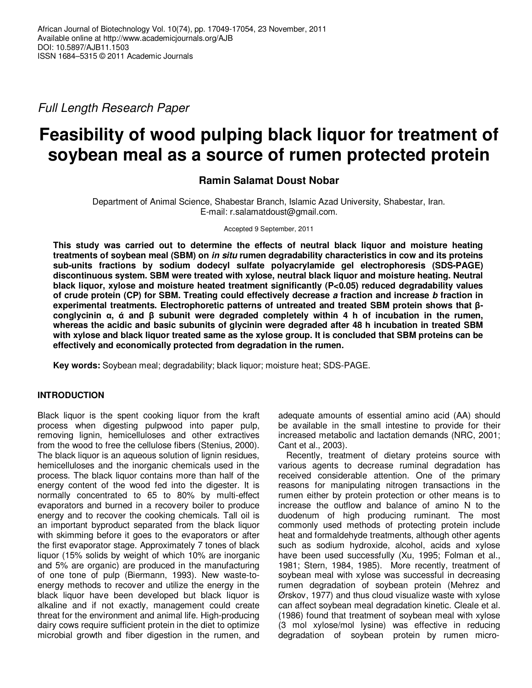Full Length Research Paper

# **Feasibility of wood pulping black liquor for treatment of soybean meal as a source of rumen protected protein**

# **Ramin Salamat Doust Nobar**

Department of Animal Science, Shabestar Branch, Islamic Azad University, Shabestar, Iran. E-mail: r.salamatdoust@gmail.com.

Accepted 9 September, 2011

**This study was carried out to determine the effects of neutral black liquor and moisture heating treatments of soybean meal (SBM) on in situ rumen degradability characteristics in cow and its proteins sub-units fractions by sodium dodecyl sulfate polyacrylamide gel electrophoresis (SDS-PAGE) discontinuous system. SBM were treated with xylose, neutral black liquor and moisture heating. Neutral black liquor, xylose and moisture heated treatment significantly (P<0.05) reduced degradability values of crude protein (CP) for SBM. Treating could effectively decrease a fraction and increase b fraction in experimental treatments. Electrophoretic patterns of untreated and treated SBM protein shows that βconglycinin α, ά and β subunit were degraded completely within 4 h of incubation in the rumen, whereas the acidic and basic subunits of glycinin were degraded after 48 h incubation in treated SBM with xylose and black liquor treated same as the xylose group. It is concluded that SBM proteins can be effectively and economically protected from degradation in the rumen.** 

**Key words:** Soybean meal; degradability; black liquor; moisture heat; SDS-PAGE.

# **INTRODUCTION**

Black liquor is the spent cooking liquor from the kraft process when digesting pulpwood into paper pulp, removing lignin, hemicelluloses and other extractives from the wood to free the cellulose fibers (Stenius, 2000). The black liquor is an aqueous solution of lignin residues, hemicelluloses and the inorganic chemicals used in the process. The black liquor contains more than half of the energy content of the wood fed into the digester. It is normally concentrated to 65 to 80% by multi-effect evaporators and burned in a recovery boiler to produce energy and to recover the cooking chemicals. Tall oil is an important byproduct separated from the black liquor with skimming before it goes to the evaporators or after the first evaporator stage. Approximately 7 tones of black liquor (15% solids by weight of which 10% are inorganic and 5% are organic) are produced in the manufacturing of one tone of pulp (Biermann, 1993). New waste-toenergy methods to recover and utilize the energy in the black liquor have been developed but black liquor is alkaline and if not exactly, management could create threat for the environment and animal life. High-producing dairy cows require sufficient protein in the diet to optimize microbial growth and fiber digestion in the rumen, and

adequate amounts of essential amino acid (AA) should be available in the small intestine to provide for their increased metabolic and lactation demands (NRC, 2001; Cant et al., 2003).

Recently, treatment of dietary proteins source with various agents to decrease ruminal degradation has received considerable attention. One of the primary reasons for manipulating nitrogen transactions in the rumen either by protein protection or other means is to increase the outflow and balance of amino N to the duodenum of high producing ruminant. The most commonly used methods of protecting protein include heat and formaldehyde treatments, although other agents such as sodium hydroxide, alcohol, acids and xylose have been used successfully (Xu, 1995; Folman et al., 1981; Stern, 1984, 1985). More recently, treatment of soybean meal with xylose was successful in decreasing rumen degradation of soybean protein (Mehrez and Ørskov, 1977) and thus cloud visualize waste with xylose can affect soybean meal degradation kinetic. Cleale et al. (1986) found that treatment of soybean meal with xylose (3 mol xylose/mol lysine) was effective in reducing degradation of soybean protein by rumen micro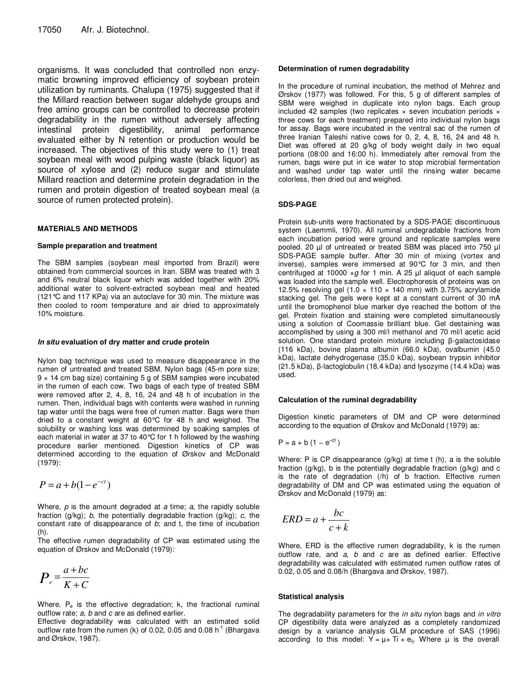organisms. It was concluded that controlled non enzymatic browning improved efficiency of soybean protein utilization by ruminants. Chalupa (1975) suggested that if the Millard reaction between sugar aldehyde groups and free amino groups can be controlled to decrease protein degradability in the rumen without adversely affecting intestinal protein digestibility, animal performance evaluated either by N retention or production would be increased. The objectives of this study were to (1) treat soybean meal with wood pulping waste (black liquor) as source of xylose and (2) reduce sugar and stimulate Millard reaction and determine protein degradation in the rumen and protein digestion of treated soybean meal (a source of rumen protected protein).

#### **MATERIALS AND METHODS**

#### **Sample preparation and treatment**

The SBM samples (soybean meal imported from Brazil) were obtained from commercial sources in Iran. SBM was treated with 3 and 6% neutral black liquor which was added together with 20% additional water to solvent-extracted soybean meal and heated (121°C and 117 KPa) via an autoclave for 30 min. The mixture was then cooled to room temperature and air dried to approximately 10% moisture.

#### **In situ evaluation of dry matter and crude protein**

Nylon bag technique was used to measure disappearance in the rumen of untreated and treated SBM. Nylon bags (45-m pore size; 9 × 14 cm bag size) containing 5 g of SBM samples were incubated in the rumen of each cow. Two bags of each type of treated SBM were removed after 2, 4, 8, 16, 24 and 48 h of incubation in the rumen. Then, individual bags with contents were washed in running tap water until the bags were free of rumen matter. Bags were then dried to a constant weight at 60°C for 48 h and weighed. The solubility or washing loss was determined by soaking samples of each material in water at 37 to 40°C for 1 h followed by the washing procedure earlier mentioned. Digestion kinetics of CP was determined according to the equation of Ørskov and McDonald (1979):

$$
P = a + b(1 - e^{-ct})
$$

Where,  $p$  is the amount degraded at  $a$  time;  $a$ , the rapidly soluble fraction  $(g/kg)$ ; b, the potentially degradable fraction  $(g/kg)$ ; c, the constant rate of disappearance of  $b$ ; and  $t$ , the time of incubation (h).

The effective rumen degradability of CP was estimated using the equation of Ørskov and McDonald (1979):

$$
P_e = \frac{a + bc}{K + C}
$$

Where,  $P_e$  is the effective degradation; k, the fractional ruminal outflow rate; a, b and c are as defined earlier.

Effective degradability was calculated with an estimated solid outflow rate from the rumen (k) of 0.02, 0.05 and 0.08  $h^{-1}$  (Bhargava and Ørskov, 1987).

#### **Determination of rumen degradability**

In the procedure of ruminal incubation, the method of Mehrez and Ørskov (1977) was followed. For this, 5 g of different samples of SBM were weighed in duplicate into nylon bags. Each group included 42 samples (two replicates  $\times$  seven incubation periods  $\times$ three cows for each treatment) prepared into individual nylon bags for assay. Bags were incubated in the ventral sac of the rumen of three Iranian Taleshi native cows for 0, 2, 4, 8, 16, 24 and 48 h. Diet was offered at 20 g/kg of body weight daily in two equal portions (08:00 and 16:00 h). Immediately after removal from the rumen, bags were put in ice water to stop microbial fermentation and washed under tap water until the rinsing water became colorless, then dried out and weighed.

#### **SDS-PAGE**

Protein sub-units were fractionated by a SDS-PAGE discontinuous system (Laemmli, 1970). All ruminal undegradable fractions from each incubation period were ground and replicate samples were pooled. 20 µl of untreated or treated SBM was placed into 750 µl SDS-PAGE sample buffer. After 30 min of mixing (vortex and inverse), samples were immersed at 90°C for 3 min, and then centrifuged at 10000  $\times g$  for 1 min. A 25 µl aliquot of each sample was loaded into the sample well. Electrophoresis of proteins was on 12.5% resolving gel (1.0  $\times$  110  $\times$  140 mm) with 3.75% acrylamide stacking gel. The gels were kept at a constant current of 30 mA until the bromophenol blue marker dye reached the bottom of the gel. Protein fixation and staining were completed simultaneously using a solution of Coomassie brilliant blue. Gel destaining was accomplished by using a 300 ml/l methanol and 70 ml/l acetic acid solution. One standard protein mixture including β-galactosidase (116 kDa), bovine plasma albumin (66.0 kDa), ovalbumin (45.0 kDa), lactate dehydrogenase (35.0 kDa), soybean trypsin inhibitor (21.5 kDa), β-lactoglobulin (18.4 kDa) and lysozyme (14.4 kDa) was used.

#### **Calculation of the ruminal degradability**

Digestion kinetic parameters of DM and CP were determined according to the equation of Ørskov and McDonald (1979) as:

$$
P = a + b (1 - e^{-ct})
$$

Where: P is CP disappearance (g/kg) at time t (h), a is the soluble fraction (g/kg), b is the potentially degradable fraction (g/kg) and c is the rate of degradation (/h) of b fraction. Effective rumen degradability of DM and CP was estimated using the equation of Ørskov and McDonald (1979) as:

$$
ERD = a + \frac{bc}{c+k}
$$

Where, ERD is the effective rumen degradability, k is the rumen outflow rate, and  $a$ ,  $b$  and  $c$  are as defined earlier. Effective degradability was calculated with estimated rumen outflow rates of 0.02, 0.05 and 0.08/h (Bhargava and Ørskov, 1987).

#### **Statistical analysis**

The degradability parameters for the *in situ* nylon bags and *in vitro* CP digestibility data were analyzed as a completely randomized design by a variance analysis GLM procedure of SAS (1996) according to this model:  $Y = \mu + Ti + e_{ii}$ . Where  $\mu$  is the overall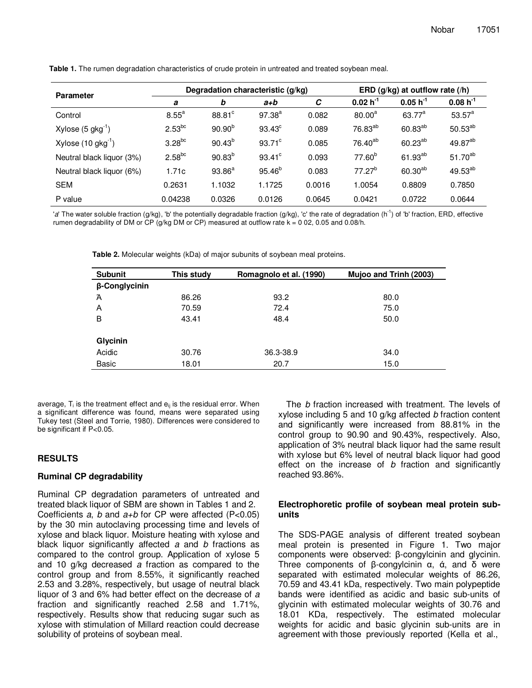| <b>Parameter</b>               | Degradation characteristic (g/kg) |               |                 |        | ERD (g/kg) at outflow rate (/h) |               |                     |
|--------------------------------|-----------------------------------|---------------|-----------------|--------|---------------------------------|---------------|---------------------|
|                                | а                                 | b             | $a+b$           | C      | $0.02 h^{-1}$                   | $0.05 h^{-1}$ | $0.08 h^{-1}$       |
| Control                        | $8.55^{\circ}$                    | $88.81^\circ$ | $97.38^{a}$     | 0.082  | $80.00^a$                       | $63.77^a$     | $53.57^a$           |
| Xylose $(5 \text{ gkg}^{-1})$  | $2.53^{bc}$                       | $90.90^{b}$   | $93.43^{\circ}$ | 0.089  | 76.83 <sup>ab</sup>             | $60.83^{ab}$  | $50.53^{ab}$        |
| Xylose $(10 \text{ gkg}^{-1})$ | $3.28^{bc}$                       | $90.43^{b}$   | $93.71^{\circ}$ | 0.085  | 76.40 <sup>ab</sup>             | $60.23^{ab}$  | 49.87 <sup>ab</sup> |
| Neutral black liquor (3%)      | $2.58^{bc}$                       | $90.83^{b}$   | $93.41^{\circ}$ | 0.093  | $77.60^{b}$                     | $61.93^{ab}$  | $51.70^{ab}$        |
| Neutral black liquor (6%)      | 1.71c                             | $93.86^{a}$   | $95.46^{b}$     | 0.083  | $77.27^{b}$                     | $60.30^{ab}$  | $49.53^{ab}$        |
| <b>SEM</b>                     | 0.2631                            | 1.1032        | 1.1725          | 0.0016 | 1.0054                          | 0.8809        | 0.7850              |
| P value                        | 0.04238                           | 0.0326        | 0.0126          | 0.0645 | 0.0421                          | 0.0722        | 0.0644              |

**Table 1.** The rumen degradation characteristics of crude protein in untreated and treated soybean meal.

'a' The water soluble fraction (g/kg), 'b' the potentially degradable fraction (g/kg), 'c' the rate of degradation (h<sup>-1</sup>) of 'b' fraction, ERD, effective rumen degradability of DM or CP ( $g/kg$  DM or CP) measured at outflow rate  $k = 0.02$ , 0.05 and 0.08/h.

**Table 2.** Molecular weights (kDa) of major subunits of soybean meal proteins.

| <b>Subunit</b> | This study | Romagnolo et al. (1990) | Mujoo and Trinh (2003) |
|----------------|------------|-------------------------|------------------------|
| β-Conglycinin  |            |                         |                        |
| Ά              | 86.26      | 93.2                    | 80.0                   |
| A              | 70.59      | 72.4                    | 75.0                   |
| B              | 43.41      | 48.4                    | 50.0                   |
| Glycinin       |            |                         |                        |
| Acidic         | 30.76      | 36.3-38.9               | 34.0                   |
| Basic          | 18.01      | 20.7                    | 15.0                   |

average,  $T_i$  is the treatment effect and  $e_{ii}$  is the residual error. When a significant difference was found, means were separated using Tukey test (Steel and Torrie, 1980). Differences were considered to be significant if P<0.05.

# **RESULTS**

# **Ruminal CP degradability**

Ruminal CP degradation parameters of untreated and treated black liquor of SBM are shown in Tables 1 and 2. Coefficients a, b and  $a+b$  for CP were affected (P<0.05) by the 30 min autoclaving processing time and levels of xylose and black liquor. Moisture heating with xylose and black liquor significantly affected a and b fractions as compared to the control group. Application of xylose 5 and 10 g/kg decreased a fraction as compared to the control group and from 8.55%, it significantly reached 2.53 and 3.28%, respectively, but usage of neutral black liquor of 3 and 6% had better effect on the decrease of a fraction and significantly reached 2.58 and 1.71%, respectively. Results show that reducing sugar such as xylose with stimulation of Millard reaction could decrease solubility of proteins of soybean meal.

The *b* fraction increased with treatment. The levels of xylose including 5 and 10 g/kg affected b fraction content and significantly were increased from 88.81% in the control group to 90.90 and 90.43%, respectively. Also, application of 3% neutral black liquor had the same result with xylose but 6% level of neutral black liquor had good effect on the increase of  $b$  fraction and significantly reached 93.86%.

# **Electrophoretic profile of soybean meal protein subunits**

The SDS-PAGE analysis of different treated soybean meal protein is presented in Figure 1. Two major components were observed: β-congylcinin and glycinin. Three components of β-congylcinin α, ά, and δ were separated with estimated molecular weights of 86.26, 70.59 and 43.41 kDa, respectively. Two main polypeptide bands were identified as acidic and basic sub-units of glycinin with estimated molecular weights of 30.76 and 18.01 KDa, respectively. The estimated molecular weights for acidic and basic glycinin sub-units are in agreement with those previously reported (Kella et al.,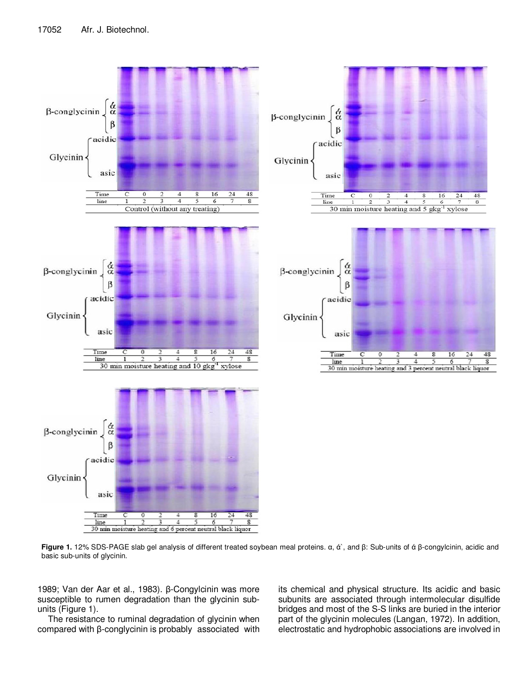

30 min moisture heating and 6 percent neutral black liquor

**Figure 1.** 12% SDS-PAGE slab gel analysis of different treated soybean meal proteins. α, ά`, and β: Sub-units of ά β-congylcinin, acidic and basic sub-units of glycinin.

1989; Van der Aar et al., 1983). β-Congylcinin was more susceptible to rumen degradation than the glycinin subunits (Figure 1).

 The resistance to ruminal degradation of glycinin when compared with β-conglycinin is probably associated with its chemical and physical structure. Its acidic and basic subunits are associated through intermolecular disulfide bridges and most of the S-S links are buried in the interior part of the glycinin molecules (Langan, 1972). In addition, electrostatic and hydrophobic associations are involved in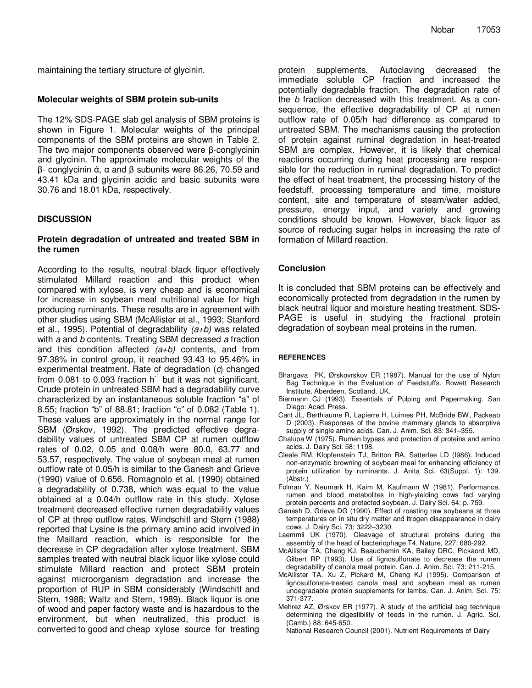maintaining the tertiary structure of glycinin.

### **Molecular weights of SBM protein sub-units**

The 12% SDS-PAGE slab gel analysis of SBM proteins is shown in Figure 1. Molecular weights of the principal components of the SBM proteins are shown in Table 2. The two major components observed were β-conglycinin and glycinin. The approximate molecular weights of the β- conglycinin ά, α and β subunits were 86.26, 70.59 and 43.41 kDa and glycinin acidic and basic subunits were 30.76 and 18.01 kDa, respectively.

# **DISCUSSION**

# **Protein degradation of untreated and treated SBM in the rumen**

According to the results, neutral black liquor effectively stimulated Millard reaction and this product when compared with xylose, is very cheap and is economical for increase in soybean meal nutritional value for high producing ruminants. These results are in agreement with other studies using SBM (McAllister et al., 1993; Stanford et al., 1995). Potential of degradability  $(a+b)$  was related with a and b contents. Treating SBM decreased a fraction and this condition affected  $(a+b)$  contents, and from 97.38% in control group, it reached 93.43 to 95.46% in experimental treatment. Rate of degradation (c) changed from 0.081 to 0.093 fraction  $h^{-1}$  but it was not significant. Crude protein in untreated SBM had a degradability curve characterized by an instantaneous soluble fraction "a" of 8.55; fraction "b" of 88.81; fraction "c" of 0.082 (Table 1). These values are approximately in the normal range for SBM (Ørskov, 1992). The predicted effective degradability values of untreated SBM CP at rumen outflow rates of 0.02, 0.05 and 0.08/h were 80.0, 63.77 and 53.57, respectively. The value of soybean meal at rumen outflow rate of 0.05/h is similar to the Ganesh and Grieve (1990) value of 0.656. Romagnolo et al. (1990) obtained a degradability of 0.738, which was equal to the value obtained at a 0.04/h outflow rate in this study. Xylose treatment decreased effective rumen degradability values of CP at three outflow rates. Windschitl and Stern (1988) reported that Lysine is the primary amino acid involved in the Maillard reaction, which is responsible for the decrease in CP degradation after xylose treatment. SBM samples treated with neutral black liquor like xylose could stimulate Millard reaction and protect SBM protein against microorganism degradation and increase the proportion of RUP in SBM considerably (Windschitl and Stern, 1988; Waltz and Stern, 1989). Black liquor is one of wood and paper factory waste and is hazardous to the environment, but when neutralized, this product is converted to good and cheap xylose source for treating

protein supplements. Autoclaving decreased the immediate soluble CP fraction and increased the potentially degradable fraction. The degradation rate of the b fraction decreased with this treatment. As a consequence, the effective degradability of CP at rumen outflow rate of 0.05/h had difference as compared to untreated SBM. The mechanisms causing the protection of protein against ruminal degradation in heat-treated SBM are complex. However, it is likely that chemical reactions occurring during heat processing are responsible for the reduction in ruminal degradation. To predict the effect of heat treatment, the processing history of the feedstuff, processing temperature and time, moisture content, site and temperature of steam/water added, pressure, energy input, and variety and growing conditions should be known. However, black liquor as source of reducing sugar helps in increasing the rate of formation of Millard reaction.

# **Conclusion**

It is concluded that SBM proteins can be effectively and economically protected from degradation in the rumen by black neutral liquor and moisture heating treatment. SDS-PAGE is useful in studying the fractional protein degradation of soybean meal proteins in the rumen.

#### **REFERENCES**

- Bhargava PK, Ørskovrskov ER (1987). Manual for the use of Nylon Bag Technique in the Evaluation of Feedstuffs. Rowett Research Institute, Aberdeen, Scotland, UK.
- Biermann CJ (1993). Essentials of Pulping and Papermaking. San Diego: Acad. Press.
- Cant JL, Berthiaume R, Lapierre H, Luimes PH, McBride BW, Packeao D (2003). Responses of the bovine mammary glands to absorptive supply of single amino acids. Can. J. Anim. Sci. 83: 341–355.
- Chalupa W (1975). Rumen bypass and protection of proteins and amino acids. J. Dairy Sci. 58: 1198.
- Cleale RM, Klopfenstein TJ, Britton RA, Satterlee LD (I986). Induced non-enzymatic browning of soybean meal for enhancing efficiency of protein utilization by ruminants. J. Anita Sci. 63(Suppl. 1): 139. (Abstr.)
- Folman Y, Neumark H, Kaim M, Kaufmann W (1981). Performance, rumen and blood metabolites in high-yielding cows fed varying protein percents and protected soybean. J. Dairy Sci. 64: p. 759.
- Ganesh D, Grieve DG (1990). Effect of roasting raw soybeans at three temperatures on in situ dry matter and itrogen disappearance in dairy cows. J. Dairy Sci. 73: 3222–3230.
- Laemmli UK (1970). Cleavage of structural proteins during the assembly of the head of bacteriophage T4. Nature, 227: 680-292.
- McAllister TA, Cheng KJ, Beauchemin KA, Bailey DRC, Pickaord MD, Gilbert RP (1993). Use of lignosulfonate to decrease the rumen degradability of canola meal protein. Can. J. Anim. Sci. 73: 211-215.
- McAllister TA, Xu Z, Pickard M, Cheng KJ (1995). Comparison of lignosulfonate-treated canola meal and soybean meal as rumen undegradable protein supplements for lambs. Can. J. Anim. Sci. 75: 371-377.
- Mehrez AZ, Ørskov ER (1977). A study of the artificial bag technique determining the digestibility of feeds in the rumen. J. Agric. Sci. (Camb.) 88: 645-650.

National Research Council (2001). Nutrient Requirements of Dairy